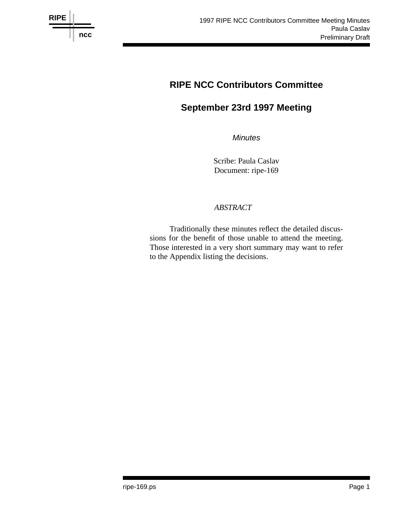

# **RIPE NCC Contributors Committee**

# **September 23rd 1997 Meeting**

*Minutes*

Scribe: Paula Caslav Document: ripe-169

# *ABSTRACT*

Traditionally these minutes reflect the detailed discussions for the benefit of those unable to attend the meeting. Those interested in a very short summary may want to refer to the Appendix listing the decisions.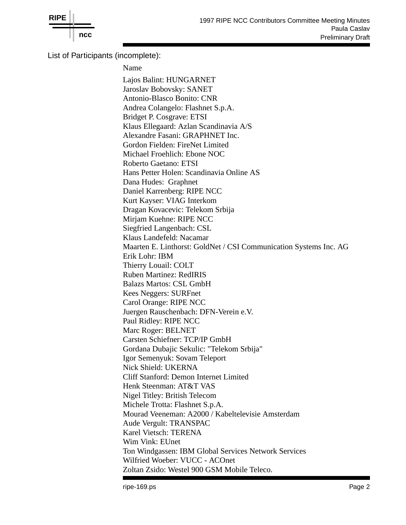

List of Participants (incomplete):

Name Lajos Balint: HUNGARNET Jaroslav Bobovsky: SANET Antonio-Blasco Bonito: CNR Andrea Colangelo: Flashnet S.p.A. Bridget P. Cosgrave: ETSI Klaus Ellegaard: Azlan Scandinavia A/S Alexandre Fasani: GRAPHNET Inc. Gordon Fielden: FireNet Limited Michael Froehlich: Ebone NOC Roberto Gaetano: ETSI Hans Petter Holen: Scandinavia Online AS Dana Hudes: Graphnet Daniel Karrenberg: RIPE NCC Kurt Kayser: VIAG Interkom Dragan Kovacevic: Telekom Srbija Mirjam Kuehne: RIPE NCC Siegfried Langenbach: CSL Klaus Landefeld: Nacamar Maarten E. Linthorst: GoldNet / CSI Communication Systems Inc. AG Erik Lohr: IBM Thierry Louail: COLT Ruben Martinez: RedIRIS Balazs Martos: CSL GmbH Kees Neggers: SURFnet Carol Orange: RIPE NCC Juergen Rauschenbach: DFN-Verein e.V. Paul Ridley: RIPE NCC Marc Roger: BELNET Carsten Schiefner: TCP/IP GmbH Gordana Dubajic Sekulic: "Telekom Srbija" Igor Semenyuk: Sovam Teleport Nick Shield: UKERNA Cliff Stanford: Demon Internet Limited Henk Steenman: AT&T VAS Nigel Titley: British Telecom Michele Trotta: Flashnet S.p.A. Mourad Veeneman: A2000 / Kabeltelevisie Amsterdam Aude Vergult: TRANSPAC Karel Vietsch: TERENA Wim Vink: EUnet Ton Windgassen: IBM Global Services Network Services Wilfried Woeber: VUCC - ACOnet Zoltan Zsido: Westel 900 GSM Mobile Teleco.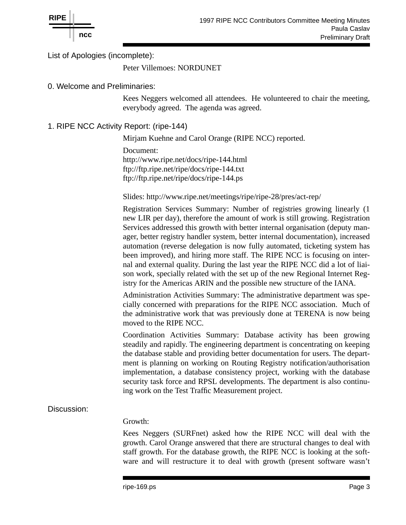

List of Apologies (incomplete):

Peter Villemoes: NORDUNET

0. Welcome and Preliminaries:

Kees Neggers welcomed all attendees. He volunteered to chair the meeting, everybody agreed. The agenda was agreed.

1. RIPE NCC Activity Report: (ripe-144)

Mirjam Kuehne and Carol Orange (RIPE NCC) reported.

Document: http://www.ripe.net/docs/ripe-144.html ftp://ftp.ripe.net/ripe/docs/ripe-144.txt ftp://ftp.ripe.net/ripe/docs/ripe-144.ps

Slides: http://www.ripe.net/meetings/ripe/ripe-28/pres/act-rep/

Registration Services Summary: Number of registries growing linearly (1 new LIR per day), therefore the amount of work is still growing. Registration Services addressed this growth with better internal organisation (deputy manager, better registry handler system, better internal documentation), increased automation (reverse delegation is now fully automated, ticketing system has been improved), and hiring more staff. The RIPE NCC is focusing on internal and external quality. During the last year the RIPE NCC did a lot of liaison work, specially related with the set up of the new Regional Internet Registry for the Americas ARIN and the possible new structure of the IANA.

Administration Activities Summary: The administrative department was specially concerned with preparations for the RIPE NCC association. Much of the administrative work that was previously done at TERENA is now being moved to the RIPE NCC.

Coordination Activities Summary: Database activity has been growing steadily and rapidly. The engineering department is concentrating on keeping the database stable and providing better documentation for users. The department is planning on working on Routing Registry notification/authorisation implementation, a database consistency project, working with the database security task force and RPSL developments. The department is also continuing work on the Test Traffic Measurement project.

# Discussion:

#### Growth:

Kees Neggers (SURFnet) asked how the RIPE NCC will deal with the growth. Carol Orange answered that there are structural changes to deal with staff growth. For the database growth, the RIPE NCC is looking at the software and will restructure it to deal with growth (present software wasn't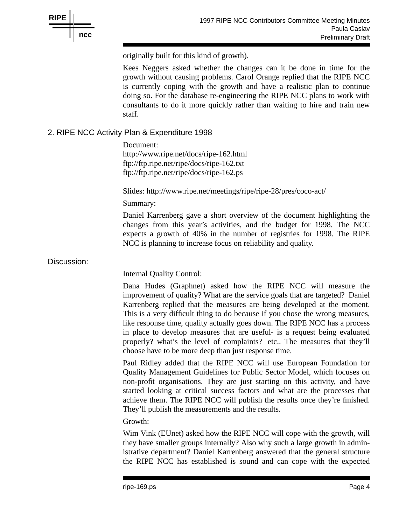

originally built for this kind of growth).

Kees Neggers asked whether the changes can it be done in time for the growth without causing problems. Carol Orange replied that the RIPE NCC is currently coping with the growth and have a realistic plan to continue doing so. For the database re-engineering the RIPE NCC plans to work with consultants to do it more quickly rather than waiting to hire and train new staff.

# 2. RIPE NCC Activity Plan & Expenditure 1998

Document: http://www.ripe.net/docs/ripe-162.html ftp://ftp.ripe.net/ripe/docs/ripe-162.txt ftp://ftp.ripe.net/ripe/docs/ripe-162.ps

Slides: http://www.ripe.net/meetings/ripe/ripe-28/pres/coco-act/

Summary:

Daniel Karrenberg gave a short overview of the document highlighting the changes from this year's activities, and the budget for 1998. The NCC expects a growth of 40% in the number of registries for 1998. The RIPE NCC is planning to increase focus on reliability and quality.

### Discussion:

Internal Quality Control:

Dana Hudes (Graphnet) asked how the RIPE NCC will measure the improvement of quality? What are the service goals that are targeted? Daniel Karrenberg replied that the measures are being developed at the moment. This is a very difficult thing to do because if you chose the wrong measures, like response time, quality actually goes down. The RIPE NCC has a process in place to develop measures that are useful- is a request being evaluated properly? what's the level of complaints? etc.. The measures that they'll choose have to be more deep than just response time.

Paul Ridley added that the RIPE NCC will use European Foundation for Quality Management Guidelines for Public Sector Model, which focuses on non-profit organisations. They are just starting on this activity, and have started looking at critical success factors and what are the processes that achieve them. The RIPE NCC will publish the results once they're finished. They'll publish the measurements and the results.

Growth:

Wim Vink (EUnet) asked how the RIPE NCC will cope with the growth, will they have smaller groups internally? Also why such a large growth in administrative department? Daniel Karrenberg answered that the general structure the RIPE NCC has established is sound and can cope with the expected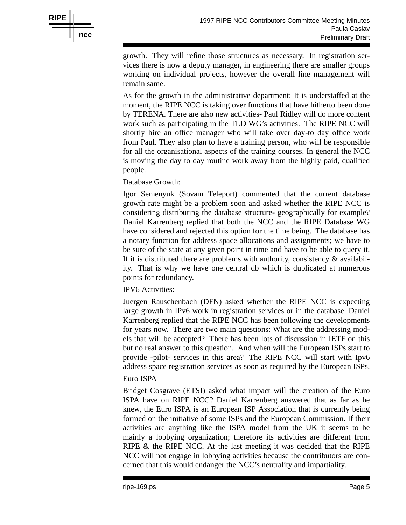

growth. They will refine those structures as necessary. In registration services there is now a deputy manager, in engineering there are smaller groups working on individual projects, however the overall line management will remain same.

As for the growth in the administrative department: It is understaffed at the moment, the RIPE NCC is taking over functions that have hitherto been done by TERENA. There are also new activities- Paul Ridley will do more content work such as participating in the TLD WG's activities. The RIPE NCC will shortly hire an office manager who will take over day-to day office work from Paul. They also plan to have a training person, who will be responsible for all the organisational aspects of the training courses. In general the NCC is moving the day to day routine work away from the highly paid, qualified people.

Database Growth:

Igor Semenyuk (Sovam Teleport) commented that the current database growth rate might be a problem soon and asked whether the RIPE NCC is considering distributing the database structure- geographically for example? Daniel Karrenberg replied that both the NCC and the RIPE Database WG have considered and rejected this option for the time being. The database has a notary function for address space allocations and assignments; we have to be sure of the state at any given point in time and have to be able to query it. If it is distributed there are problems with authority, consistency  $\&$  availability. That is why we have one central db which is duplicated at numerous points for redundancy.

# IPV6 Activities:

Juergen Rauschenbach (DFN) asked whether the RIPE NCC is expecting large growth in IPv6 work in registration services or in the database. Daniel Karrenberg replied that the RIPE NCC has been following the developments for years now. There are two main questions: What are the addressing models that will be accepted? There has been lots of discussion in IETF on this but no real answer to this question. And when will the European ISPs start to provide -pilot- services in this area? The RIPE NCC will start with Ipv6 address space registration services as soon as required by the European ISPs.

# Euro ISPA

Bridget Cosgrave (ETSI) asked what impact will the creation of the Euro ISPA have on RIPE NCC? Daniel Karrenberg answered that as far as he knew, the Euro ISPA is an European ISP Association that is currently being formed on the initiative of some ISPs and the European Commission. If their activities are anything like the ISPA model from the UK it seems to be mainly a lobbying organization; therefore its activities are different from RIPE & the RIPE NCC. At the last meeting it was decided that the RIPE NCC will not engage in lobbying activities because the contributors are concerned that this would endanger the NCC's neutrality and impartiality.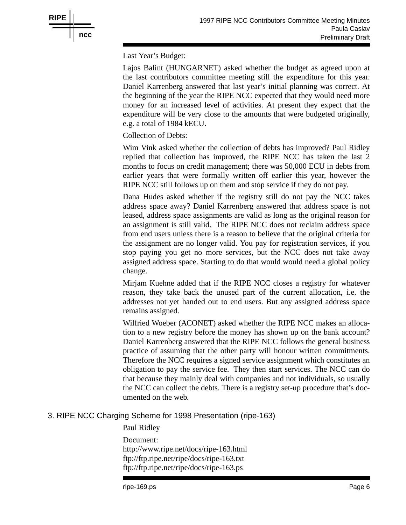

Last Year's Budget:

Lajos Balint (HUNGARNET) asked whether the budget as agreed upon at the last contributors committee meeting still the expenditure for this year. Daniel Karrenberg answered that last year's initial planning was correct. At the beginning of the year the RIPE NCC expected that they would need more money for an increased level of activities. At present they expect that the expenditure will be very close to the amounts that were budgeted originally, e.g. a total of 1984 kECU.

Collection of Debts:

Wim Vink asked whether the collection of debts has improved? Paul Ridley replied that collection has improved, the RIPE NCC has taken the last 2 months to focus on credit management; there was 50,000 ECU in debts from earlier years that were formally written off earlier this year, however the RIPE NCC still follows up on them and stop service if they do not pay.

Dana Hudes asked whether if the registry still do not pay the NCC takes address space away? Daniel Karrenberg answered that address space is not leased, address space assignments are valid as long as the original reason for an assignment is still valid. The RIPE NCC does not reclaim address space from end users unless there is a reason to believe that the original criteria for the assignment are no longer valid. You pay for registration services, if you stop paying you get no more services, but the NCC does not take away assigned address space. Starting to do that would would need a global policy change.

Mirjam Kuehne added that if the RIPE NCC closes a registry for whatever reason, they take back the unused part of the current allocation, i.e. the addresses not yet handed out to end users. But any assigned address space remains assigned.

Wilfried Woeber (ACONET) asked whether the RIPE NCC makes an allocation to a new registry before the money has shown up on the bank account? Daniel Karrenberg answered that the RIPE NCC follows the general business practice of assuming that the other party will honour written commitments. Therefore the NCC requires a signed service assignment which constitutes an obligation to pay the service fee. They then start services. The NCC can do that because they mainly deal with companies and not individuals, so usually the NCC can collect the debts. There is a registry set-up procedure that's documented on the web.

# 3. RIPE NCC Charging Scheme for 1998 Presentation (ripe-163)

Paul Ridley Document: http://www.ripe.net/docs/ripe-163.html ftp://ftp.ripe.net/ripe/docs/ripe-163.txt ftp://ftp.ripe.net/ripe/docs/ripe-163.ps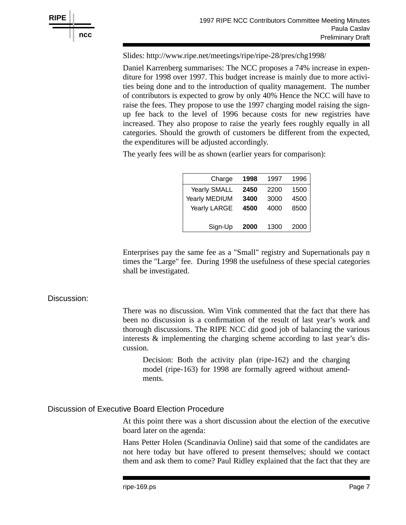

Slides: http://www.ripe.net/meetings/ripe/ripe-28/pres/chg1998/

Daniel Karrenberg summarises: The NCC proposes a 74% increase in expenditure for 1998 over 1997. This budget increase is mainly due to more activities being done and to the introduction of quality management. The number of contributors is expected to grow by only 40% Hence the NCC will have to raise the fees. They propose to use the 1997 charging model raising the signup fee back to the level of 1996 because costs for new registries have increased. They also propose to raise the yearly fees roughly equally in all categories. Should the growth of customers be different from the expected, the expenditures will be adjusted accordingly.

The yearly fees will be as shown (earlier years for comparison):

| Charge              | 1998 | 1997 | 1996 |
|---------------------|------|------|------|
| <b>Yearly SMALL</b> | 2450 | 2200 | 1500 |
| Yearly MEDIUM       | 3400 | 3000 | 4500 |
| Yearly LARGE        | 4500 | 4000 | 8500 |
|                     |      |      |      |
| Sign-Up             | 2000 | 1300 | 2000 |

Enterprises pay the same fee as a "Small" registry and Supernationals pay n times the "Large" fee. During 1998 the usefulness of these special categories shall be investigated.

#### Discussion:

There was no discussion. Wim Vink commented that the fact that there has been no discussion is a confirmation of the result of last year's work and thorough discussions. The RIPE NCC did good job of balancing the various interests & implementing the charging scheme according to last year's discussion.

Decision: Both the activity plan (ripe-162) and the charging model (ripe-163) for 1998 are formally agreed without amendments.

#### Discussion of Executive Board Election Procedure

At this point there was a short discussion about the election of the executive board later on the agenda:

Hans Petter Holen (Scandinavia Online) said that some of the candidates are not here today but have offered to present themselves; should we contact them and ask them to come? Paul Ridley explained that the fact that they are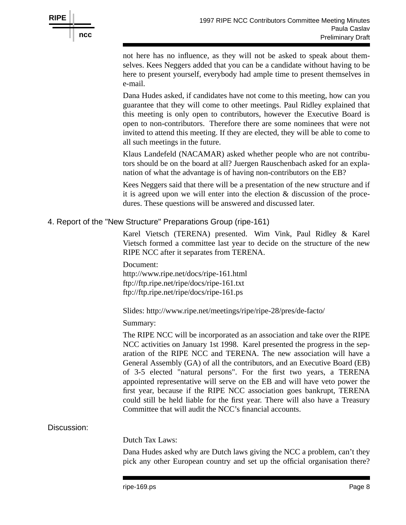

not here has no influence, as they will not be asked to speak about themselves. Kees Neggers added that you can be a candidate without having to be here to present yourself, everybody had ample time to present themselves in e-mail.

Dana Hudes asked, if candidates have not come to this meeting, how can you guarantee that they will come to other meetings. Paul Ridley explained that this meeting is only open to contributors, however the Executive Board is open to non-contributors. Therefore there are some nominees that were not invited to attend this meeting. If they are elected, they will be able to come to all such meetings in the future.

Klaus Landefeld (NACAMAR) asked whether people who are not contributors should be on the board at all? Juergen Rauschenbach asked for an explanation of what the advantage is of having non-contributors on the EB?

Kees Neggers said that there will be a presentation of the new structure and if it is agreed upon we will enter into the election & discussion of the procedures. These questions will be answered and discussed later.

#### 4. Report of the "New Structure" Preparations Group (ripe-161)

Karel Vietsch (TERENA) presented. Wim Vink, Paul Ridley & Karel Vietsch formed a committee last year to decide on the structure of the new RIPE NCC after it separates from TERENA.

Document: http://www.ripe.net/docs/ripe-161.html ftp://ftp.ripe.net/ripe/docs/ripe-161.txt ftp://ftp.ripe.net/ripe/docs/ripe-161.ps

Slides: http://www.ripe.net/meetings/ripe/ripe-28/pres/de-facto/

Summary:

The RIPE NCC will be incorporated as an association and take over the RIPE NCC activities on January 1st 1998. Karel presented the progress in the separation of the RIPE NCC and TERENA. The new association will have a General Assembly (GA) of all the contributors, and an Executive Board (EB) of 3-5 elected "natural persons". For the first two years, a TERENA appointed representative will serve on the EB and will have veto power the first year, because if the RIPE NCC association goes bankrupt, TERENA could still be held liable for the first year. There will also have a Treasury Committee that will audit the NCC's financial accounts.

#### Discussion:

Dutch Tax Laws:

Dana Hudes asked why are Dutch laws giving the NCC a problem, can't they pick any other European country and set up the official organisation there?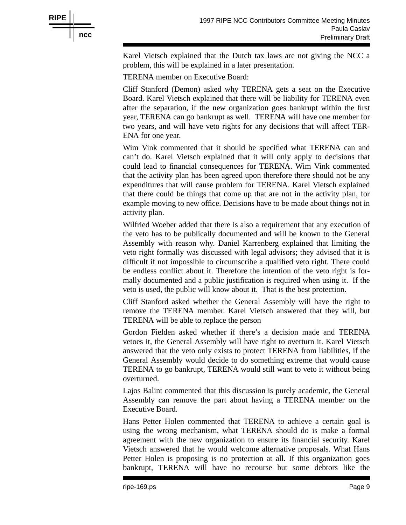

Karel Vietsch explained that the Dutch tax laws are not giving the NCC a problem, this will be explained in a later presentation.

TERENA member on Executive Board:

Cliff Stanford (Demon) asked why TERENA gets a seat on the Executive Board. Karel Vietsch explained that there will be liability for TERENA even after the separation, if the new organization goes bankrupt within the first year, TERENA can go bankrupt as well. TERENA will have one member for two years, and will have veto rights for any decisions that will affect TER-ENA for one year.

Wim Vink commented that it should be specified what TERENA can and can't do. Karel Vietsch explained that it will only apply to decisions that could lead to financial consequences for TERENA. Wim Vink commented that the activity plan has been agreed upon therefore there should not be any expenditures that will cause problem for TERENA. Karel Vietsch explained that there could be things that come up that are not in the activity plan, for example moving to new office. Decisions have to be made about things not in activity plan.

Wilfried Woeber added that there is also a requirement that any execution of the veto has to be publically documented and will be known to the General Assembly with reason why. Daniel Karrenberg explained that limiting the veto right formally was discussed with legal advisors; they advised that it is difficult if not impossible to circumscribe a qualified veto right. There could be endless conflict about it. Therefore the intention of the veto right is formally documented and a public justification is required when using it. If the veto is used, the public will know about it. That is the best protection.

Cliff Stanford asked whether the General Assembly will have the right to remove the TERENA member. Karel Vietsch answered that they will, but TERENA will be able to replace the person

Gordon Fielden asked whether if there's a decision made and TERENA vetoes it, the General Assembly will have right to overturn it. Karel Vietsch answered that the veto only exists to protect TERENA from liabilities, if the General Assembly would decide to do something extreme that would cause TERENA to go bankrupt, TERENA would still want to veto it without being overturned.

Lajos Balint commented that this discussion is purely academic, the General Assembly can remove the part about having a TERENA member on the Executive Board.

Hans Petter Holen commented that TERENA to achieve a certain goal is using the wrong mechanism, what TERENA should do is make a formal agreement with the new organization to ensure its financial security. Karel Vietsch answered that he would welcome alternative proposals. What Hans Petter Holen is proposing is no protection at all. If this organization goes bankrupt, TERENA will have no recourse but some debtors like the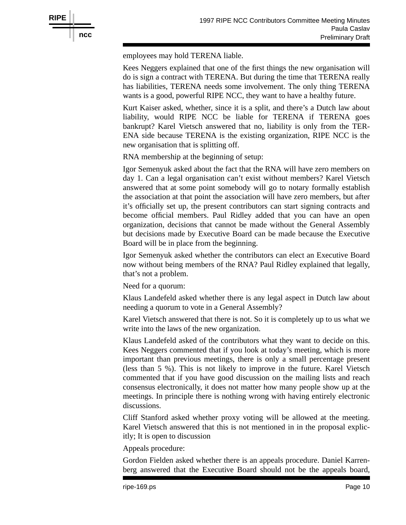

employees may hold TERENA liable.

Kees Neggers explained that one of the first things the new organisation will do is sign a contract with TERENA. But during the time that TERENA really has liabilities, TERENA needs some involvement. The only thing TERENA wants is a good, powerful RIPE NCC, they want to have a healthy future.

Kurt Kaiser asked, whether, since it is a split, and there's a Dutch law about liability, would RIPE NCC be liable for TERENA if TERENA goes bankrupt? Karel Vietsch answered that no, liability is only from the TER-ENA side because TERENA is the existing organization, RIPE NCC is the new organisation that is splitting off.

RNA membership at the beginning of setup:

Igor Semenyuk asked about the fact that the RNA will have zero members on day 1. Can a legal organisation can't exist without members? Karel Vietsch answered that at some point somebody will go to notary formally establish the association at that point the association will have zero members, but after it's officially set up, the present contributors can start signing contracts and become official members. Paul Ridley added that you can have an open organization, decisions that cannot be made without the General Assembly but decisions made by Executive Board can be made because the Executive Board will be in place from the beginning.

Igor Semenyuk asked whether the contributors can elect an Executive Board now without being members of the RNA? Paul Ridley explained that legally, that's not a problem.

Need for a quorum:

Klaus Landefeld asked whether there is any legal aspect in Dutch law about needing a quorum to vote in a General Assembly?

Karel Vietsch answered that there is not. So it is completely up to us what we write into the laws of the new organization.

Klaus Landefeld asked of the contributors what they want to decide on this. Kees Neggers commented that if you look at today's meeting, which is more important than previous meetings, there is only a small percentage present (less than 5 %). This is not likely to improve in the future. Karel Vietsch commented that if you have good discussion on the mailing lists and reach consensus electronically, it does not matter how many people show up at the meetings. In principle there is nothing wrong with having entirely electronic discussions.

Cliff Stanford asked whether proxy voting will be allowed at the meeting. Karel Vietsch answered that this is not mentioned in in the proposal explicitly; It is open to discussion

Appeals procedure:

Gordon Fielden asked whether there is an appeals procedure. Daniel Karrenberg answered that the Executive Board should not be the appeals board,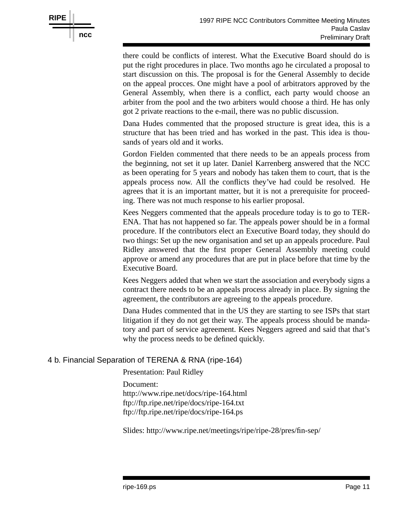

there could be conflicts of interest. What the Executive Board should do is put the right procedures in place. Two months ago he circulated a proposal to start discussion on this. The proposal is for the General Assembly to decide on the appeal procces. One might have a pool of arbitrators approved by the General Assembly, when there is a conflict, each party would choose an arbiter from the pool and the two arbiters would choose a third. He has only got 2 private reactions to the e-mail, there was no public discussion.

Dana Hudes commented that the proposed structure is great idea, this is a structure that has been tried and has worked in the past. This idea is thousands of years old and it works.

Gordon Fielden commented that there needs to be an appeals process from the beginning, not set it up later. Daniel Karrenberg answered that the NCC as been operating for 5 years and nobody has taken them to court, that is the appeals process now. All the conflicts they've had could be resolved. He agrees that it is an important matter, but it is not a prerequisite for proceeding. There was not much response to his earlier proposal.

Kees Neggers commented that the appeals procedure today is to go to TER-ENA. That has not happened so far. The appeals power should be in a formal procedure. If the contributors elect an Executive Board today, they should do two things: Set up the new organisation and set up an appeals procedure. Paul Ridley answered that the first proper General Assembly meeting could approve or amend any procedures that are put in place before that time by the Executive Board.

Kees Neggers added that when we start the association and everybody signs a contract there needs to be an appeals process already in place. By signing the agreement, the contributors are agreeing to the appeals procedure.

Dana Hudes commented that in the US they are starting to see ISPs that start litigation if they do not get their way. The appeals process should be mandatory and part of service agreement. Kees Neggers agreed and said that that's why the process needs to be defined quickly.

# 4 b. Financial Separation of TERENA & RNA (ripe-164)

Presentation: Paul Ridley

Document: http://www.ripe.net/docs/ripe-164.html ftp://ftp.ripe.net/ripe/docs/ripe-164.txt ftp://ftp.ripe.net/ripe/docs/ripe-164.ps

Slides: http://www.ripe.net/meetings/ripe/ripe-28/pres/fin-sep/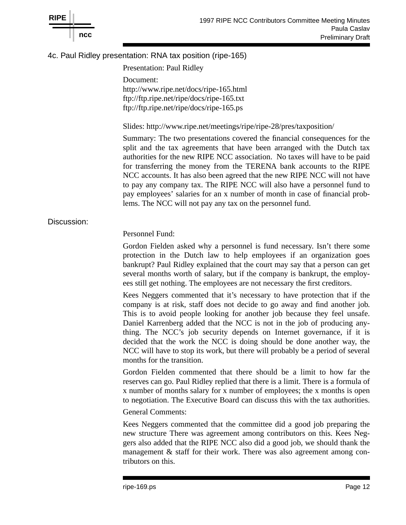

# 4c. Paul Ridley presentation: RNA tax position (ripe-165)

Presentation: Paul Ridley Document: http://www.ripe.net/docs/ripe-165.html ftp://ftp.ripe.net/ripe/docs/ripe-165.txt ftp://ftp.ripe.net/ripe/docs/ripe-165.ps

Slides: http://www.ripe.net/meetings/ripe/ripe-28/pres/taxposition/

Summary: The two presentations covered the financial consequences for the split and the tax agreements that have been arranged with the Dutch tax authorities for the new RIPE NCC association. No taxes will have to be paid for transferring the money from the TERENA bank accounts to the RIPE NCC accounts. It has also been agreed that the new RIPE NCC will not have to pay any company tax. The RIPE NCC will also have a personnel fund to pay employees' salaries for an x number of month in case of financial problems. The NCC will not pay any tax on the personnel fund.

#### Discussion:

#### Personnel Fund:

Gordon Fielden asked why a personnel is fund necessary. Isn't there some protection in the Dutch law to help employees if an organization goes bankrupt? Paul Ridley explained that the court may say that a person can get several months worth of salary, but if the company is bankrupt, the employees still get nothing. The employees are not necessary the first creditors.

Kees Neggers commented that it's necessary to have protection that if the company is at risk, staff does not decide to go away and find another job. This is to avoid people looking for another job because they feel unsafe. Daniel Karrenberg added that the NCC is not in the job of producing anything. The NCC's job security depends on Internet governance, if it is decided that the work the NCC is doing should be done another way, the NCC will have to stop its work, but there will probably be a period of several months for the transition.

Gordon Fielden commented that there should be a limit to how far the reserves can go. Paul Ridley replied that there is a limit. There is a formula of x number of months salary for x number of employees; the x months is open to negotiation. The Executive Board can discuss this with the tax authorities.

#### General Comments:

Kees Neggers commented that the committee did a good job preparing the new structure There was agreement among contributors on this. Kees Neggers also added that the RIPE NCC also did a good job, we should thank the management & staff for their work. There was also agreement among contributors on this.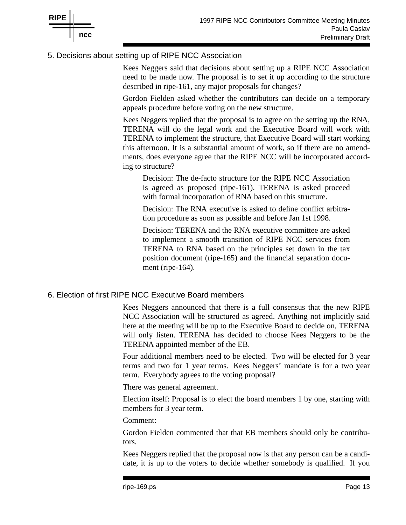

# 5. Decisions about setting up of RIPE NCC Association

Kees Neggers said that decisions about setting up a RIPE NCC Association need to be made now. The proposal is to set it up according to the structure described in ripe-161, any major proposals for changes?

Gordon Fielden asked whether the contributors can decide on a temporary appeals procedure before voting on the new structure.

Kees Neggers replied that the proposal is to agree on the setting up the RNA, TERENA will do the legal work and the Executive Board will work with TERENA to implement the structure, that Executive Board will start working this afternoon. It is a substantial amount of work, so if there are no amendments, does everyone agree that the RIPE NCC will be incorporated according to structure?

Decision: The de-facto structure for the RIPE NCC Association is agreed as proposed (ripe-161). TERENA is asked proceed with formal incorporation of RNA based on this structure.

Decision: The RNA executive is asked to define conflict arbitration procedure as soon as possible and before Jan 1st 1998.

Decision: TERENA and the RNA executive committee are asked to implement a smooth transition of RIPE NCC services from TERENA to RNA based on the principles set down in the tax position document (ripe-165) and the financial separation document (ripe-164).

# 6. Election of first RIPE NCC Executive Board members

Kees Neggers announced that there is a full consensus that the new RIPE NCC Association will be structured as agreed. Anything not implicitly said here at the meeting will be up to the Executive Board to decide on, TERENA will only listen. TERENA has decided to choose Kees Neggers to be the TERENA appointed member of the EB.

Four additional members need to be elected. Two will be elected for 3 year terms and two for 1 year terms. Kees Neggers' mandate is for a two year term. Everybody agrees to the voting proposal?

There was general agreement.

Election itself: Proposal is to elect the board members 1 by one, starting with members for 3 year term.

# Comment:

Gordon Fielden commented that that EB members should only be contributors.

Kees Neggers replied that the proposal now is that any person can be a candidate, it is up to the voters to decide whether somebody is qualified. If you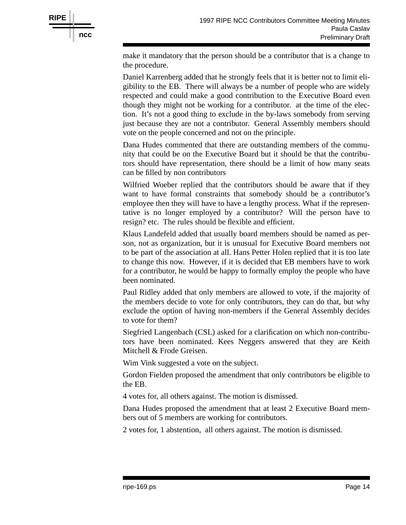

make it mandatory that the person should be a contributor that is a change to the procedure.

Daniel Karrenberg added that he strongly feels that it is better not to limit eligibility to the EB. There will always be a number of people who are widely respected and could make a good contribution to the Executive Board even though they might not be working for a contributor. at the time of the election. It's not a good thing to exclude in the by-laws somebody from serving just because they are not a contributor. General Assembly members should vote on the people concerned and not on the principle.

Dana Hudes commented that there are outstanding members of the community that could be on the Executive Board but it should be that the contributors should have representation, there should be a limit of how many seats can be filled by non contributors

Wilfried Woeber replied that the contributors should be aware that if they want to have formal constraints that somebody should be a contributor's employee then they will have to have a lengthy process. What if the representative is no longer employed by a contributor? Will the person have to resign? etc. The rules should be flexible and efficient.

Klaus Landefeld added that usually board members should be named as person, not as organization, but it is unusual for Executive Board members not to be part of the association at all. Hans Petter Holen replied that it is too late to change this now. However, if it is decided that EB members have to work for a contributor, he would be happy to formally employ the people who have been nominated.

Paul Ridley added that only members are allowed to vote, if the majority of the members decide to vote for only contributors, they can do that, but why exclude the option of having non-members if the General Assembly decides to vote for them?

Siegfried Langenbach (CSL) asked for a clarification on which non-contributors have been nominated. Kees Neggers answered that they are Keith Mitchell & Frode Greisen.

Wim Vink suggested a vote on the subject.

Gordon Fielden proposed the amendment that only contributors be eligible to the EB.

4 votes for, all others against. The motion is dismissed.

Dana Hudes proposed the amendment that at least 2 Executive Board members out of 5 members are working for contributors.

2 votes for, 1 abstention, all others against. The motion is dismissed.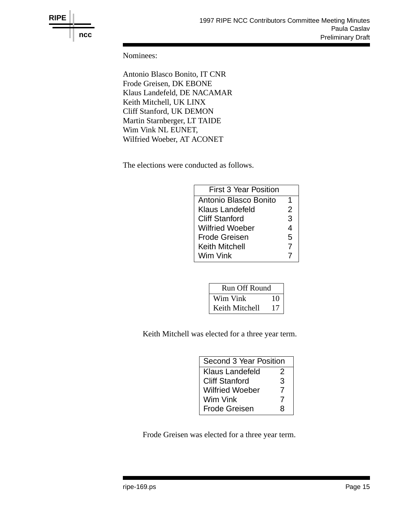

Nominees:

Antonio Blasco Bonito, IT CNR Frode Greisen, DK EBONE Klaus Landefeld, DE NACAMAR Keith Mitchell, UK LINX Cliff Stanford, UK DEMON Martin Starnberger, LT TAIDE Wim Vink NL EUNET, Wilfried Woeber, AT ACONET

The elections were conducted as follows.

| First 3 Year Position |  |
|-----------------------|--|
| Antonio Blasco Bonito |  |
| Klaus Landefeld       |  |
| <b>Cliff Stanford</b> |  |
| Wilfried Woeber       |  |
| Frode Greisen         |  |
| <b>Keith Mitchell</b> |  |
| Wim Vink              |  |
|                       |  |

| <b>Run Off Round</b> |    |  |
|----------------------|----|--|
| Wim Vink             | 10 |  |
| Keith Mitchell       | 17 |  |

Keith Mitchell was elected for a three year term.

| Second 3 Year Position |   |  |
|------------------------|---|--|
| Klaus Landefeld        | 2 |  |
| <b>Cliff Stanford</b>  | 3 |  |
| <b>Wilfried Woeber</b> | 7 |  |
| Wim Vink               | 7 |  |
| <b>Frode Greisen</b>   | R |  |

Frode Greisen was elected for a three year term.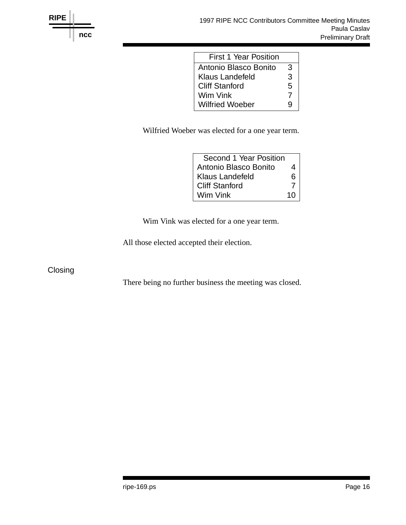

| <b>First 1 Year Position</b> |   |
|------------------------------|---|
| Antonio Blasco Bonito        | 3 |
| Klaus Landefeld              |   |
| <b>Cliff Stanford</b>        |   |
| Wim Vink                     |   |
| <b>Wilfried Woeber</b>       |   |

Wilfried Woeber was elected for a one year term.

| $\overline{4}$  |
|-----------------|
| 6 <sup>1</sup>  |
|                 |
| 10 <sup>1</sup> |
|                 |

Wim Vink was elected for a one year term.

All those elected accepted their election.

**Closing** 

There being no further business the meeting was closed.